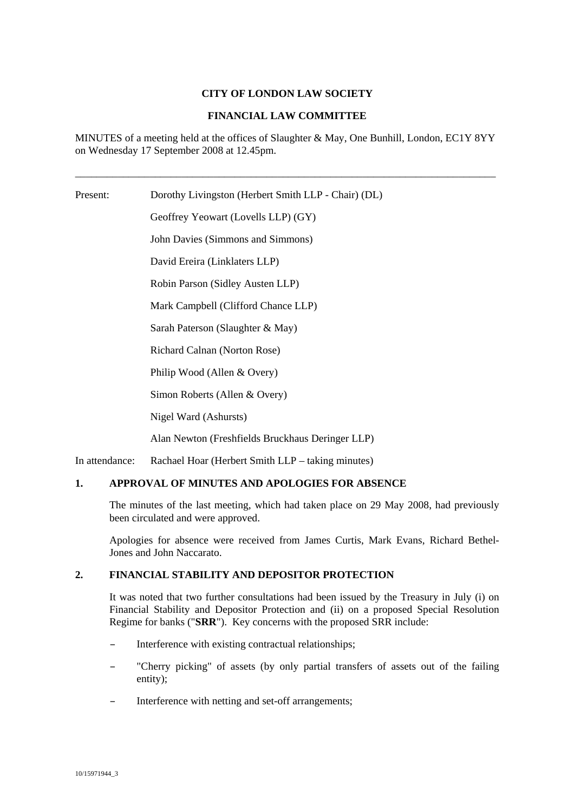# **CITY OF LONDON LAW SOCIETY**

## **FINANCIAL LAW COMMITTEE**

MINUTES of a meeting held at the offices of Slaughter & May, One Bunhill, London, EC1Y 8YY on Wednesday 17 September 2008 at 12.45pm.

\_\_\_\_\_\_\_\_\_\_\_\_\_\_\_\_\_\_\_\_\_\_\_\_\_\_\_\_\_\_\_\_\_\_\_\_\_\_\_\_\_\_\_\_\_\_\_\_\_\_\_\_\_\_\_\_\_\_\_\_\_\_\_\_\_\_\_\_\_\_\_\_\_\_\_\_\_\_\_

Present: Dorothy Livingston (Herbert Smith LLP - Chair) (DL) Geoffrey Yeowart (Lovells LLP) (GY) John Davies (Simmons and Simmons) David Ereira (Linklaters LLP) Robin Parson (Sidley Austen LLP) Mark Campbell (Clifford Chance LLP) Sarah Paterson (Slaughter & May) Richard Calnan (Norton Rose) Philip Wood (Allen & Overy)

Simon Roberts (Allen & Overy)

Nigel Ward (Ashursts)

Alan Newton (Freshfields Bruckhaus Deringer LLP)

In attendance: Rachael Hoar (Herbert Smith LLP – taking minutes)

# **1. APPROVAL OF MINUTES AND APOLOGIES FOR ABSENCE**

The minutes of the last meeting, which had taken place on 29 May 2008, had previously been circulated and were approved.

Apologies for absence were received from James Curtis, Mark Evans, Richard Bethel-Jones and John Naccarato.

## **2. FINANCIAL STABILITY AND DEPOSITOR PROTECTION**

It was noted that two further consultations had been issued by the Treasury in July (i) on Financial Stability and Depositor Protection and (ii) on a proposed Special Resolution Regime for banks ("**SRR**"). Key concerns with the proposed SRR include:

- Interference with existing contractual relationships;
- "Cherry picking" of assets (by only partial transfers of assets out of the failing entity);
- Interference with netting and set-off arrangements;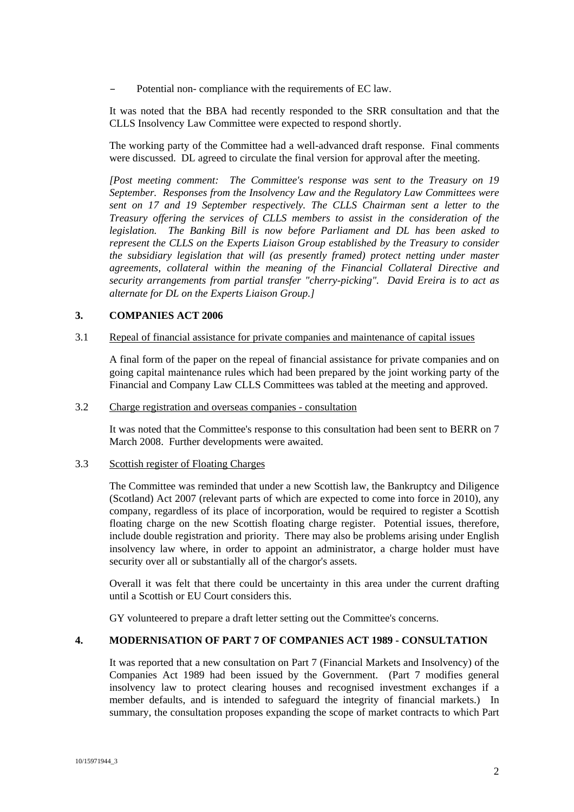– Potential non- compliance with the requirements of EC law.

It was noted that the BBA had recently responded to the SRR consultation and that the CLLS Insolvency Law Committee were expected to respond shortly.

The working party of the Committee had a well-advanced draft response. Final comments were discussed. DL agreed to circulate the final version for approval after the meeting.

*[Post meeting comment: The Committee's response was sent to the Treasury on 19 September. Responses from the Insolvency Law and the Regulatory Law Committees were sent on 17 and 19 September respectively. The CLLS Chairman sent a letter to the Treasury offering the services of CLLS members to assist in the consideration of the legislation. The Banking Bill is now before Parliament and DL has been asked to represent the CLLS on the Experts Liaison Group established by the Treasury to consider the subsidiary legislation that will (as presently framed) protect netting under master agreements, collateral within the meaning of the Financial Collateral Directive and security arrangements from partial transfer "cherry-picking". David Ereira is to act as alternate for DL on the Experts Liaison Group.]*

# **3. COMPANIES ACT 2006**

#### 3.1 Repeal of financial assistance for private companies and maintenance of capital issues

A final form of the paper on the repeal of financial assistance for private companies and on going capital maintenance rules which had been prepared by the joint working party of the Financial and Company Law CLLS Committees was tabled at the meeting and approved.

# 3.2 Charge registration and overseas companies - consultation

It was noted that the Committee's response to this consultation had been sent to BERR on 7 March 2008. Further developments were awaited.

#### 3.3 Scottish register of Floating Charges

The Committee was reminded that under a new Scottish law, the Bankruptcy and Diligence (Scotland) Act 2007 (relevant parts of which are expected to come into force in 2010), any company, regardless of its place of incorporation, would be required to register a Scottish floating charge on the new Scottish floating charge register. Potential issues, therefore, include double registration and priority. There may also be problems arising under English insolvency law where, in order to appoint an administrator, a charge holder must have security over all or substantially all of the chargor's assets.

Overall it was felt that there could be uncertainty in this area under the current drafting until a Scottish or EU Court considers this.

GY volunteered to prepare a draft letter setting out the Committee's concerns.

## **4. MODERNISATION OF PART 7 OF COMPANIES ACT 1989 - CONSULTATION**

It was reported that a new consultation on Part 7 (Financial Markets and Insolvency) of the Companies Act 1989 had been issued by the Government. (Part 7 modifies general insolvency law to protect clearing houses and recognised investment exchanges if a member defaults, and is intended to safeguard the integrity of financial markets.) In summary, the consultation proposes expanding the scope of market contracts to which Part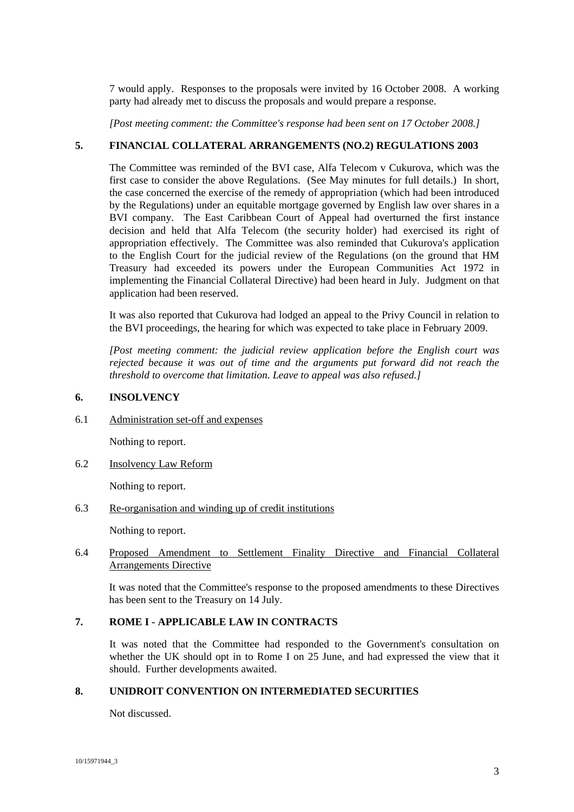7 would apply. Responses to the proposals were invited by 16 October 2008. A working party had already met to discuss the proposals and would prepare a response.

*[Post meeting comment: the Committee's response had been sent on 17 October 2008.]*

# **5. FINANCIAL COLLATERAL ARRANGEMENTS (NO.2) REGULATIONS 2003**

The Committee was reminded of the BVI case, Alfa Telecom v Cukurova, which was the first case to consider the above Regulations. (See May minutes for full details.) In short, the case concerned the exercise of the remedy of appropriation (which had been introduced by the Regulations) under an equitable mortgage governed by English law over shares in a BVI company. The East Caribbean Court of Appeal had overturned the first instance decision and held that Alfa Telecom (the security holder) had exercised its right of appropriation effectively. The Committee was also reminded that Cukurova's application to the English Court for the judicial review of the Regulations (on the ground that HM Treasury had exceeded its powers under the European Communities Act 1972 in implementing the Financial Collateral Directive) had been heard in July. Judgment on that application had been reserved.

It was also reported that Cukurova had lodged an appeal to the Privy Council in relation to the BVI proceedings, the hearing for which was expected to take place in February 2009.

*[Post meeting comment: the judicial review application before the English court was rejected because it was out of time and the arguments put forward did not reach the threshold to overcome that limitation. Leave to appeal was also refused.]*

# **6. INSOLVENCY**

6.1 Administration set-off and expenses

Nothing to report.

6.2 Insolvency Law Reform

Nothing to report.

6.3 Re-organisation and winding up of credit institutions

Nothing to report.

# 6.4 Proposed Amendment to Settlement Finality Directive and Financial Collateral Arrangements Directive

It was noted that the Committee's response to the proposed amendments to these Directives has been sent to the Treasury on 14 July.

# **7. ROME I - APPLICABLE LAW IN CONTRACTS**

It was noted that the Committee had responded to the Government's consultation on whether the UK should opt in to Rome I on 25 June, and had expressed the view that it should. Further developments awaited.

# **8. UNIDROIT CONVENTION ON INTERMEDIATED SECURITIES**

Not discussed.